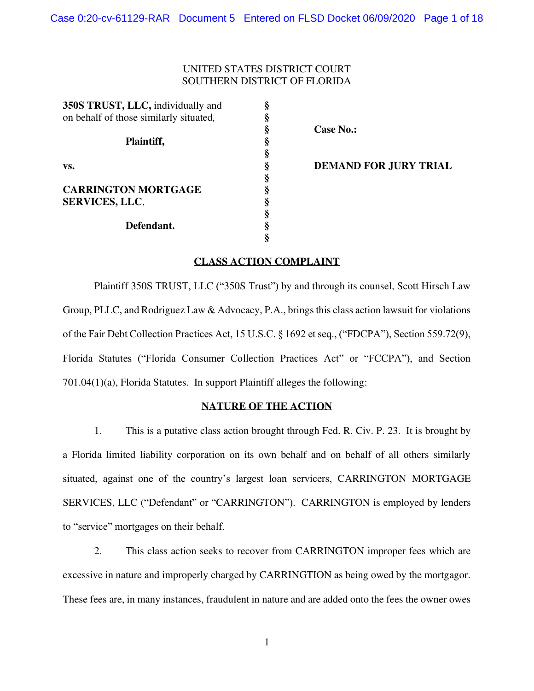## UNITED STATES DISTRICT COURT SOUTHERN DISTRICT OF FLORIDA

| 350S TRUST, LLC, individually and      | §                          |
|----------------------------------------|----------------------------|
| on behalf of those similarly situated, | §                          |
| Plaintiff,                             | 89 89 99 99 99 99 99 99 99 |
|                                        |                            |
| VS.                                    |                            |
|                                        |                            |
| <b>CARRINGTON MORTGAGE</b>             |                            |
| <b>SERVICES, LLC,</b>                  |                            |
|                                        |                            |
| Defendant.                             |                            |
|                                        | \$                         |

**Case No.:** 

**DEMAND FOR JURY TRIAL** 

# **CLASS ACTION COMPLAINT**

Plaintiff 350S TRUST, LLC ("350S Trust") by and through its counsel, Scott Hirsch Law Group, PLLC, and Rodriguez Law & Advocacy, P.A., brings this class action lawsuit for violations of the Fair Debt Collection Practices Act, 15 U.S.C. § 1692 et seq., ("FDCPA"), Section 559.72(9), Florida Statutes ("Florida Consumer Collection Practices Act" or "FCCPA"), and Section 701.04(1)(a), Florida Statutes. In support Plaintiff alleges the following:

## **NATURE OF THE ACTION**

1. This is a putative class action brought through Fed. R. Civ. P. 23. It is brought by a Florida limited liability corporation on its own behalf and on behalf of all others similarly situated, against one of the country's largest loan servicers, CARRINGTON MORTGAGE SERVICES, LLC ("Defendant" or "CARRINGTON"). CARRINGTON is employed by lenders to "service" mortgages on their behalf.

2. This class action seeks to recover from CARRINGTON improper fees which are excessive in nature and improperly charged by CARRINGTION as being owed by the mortgagor. These fees are, in many instances, fraudulent in nature and are added onto the fees the owner owes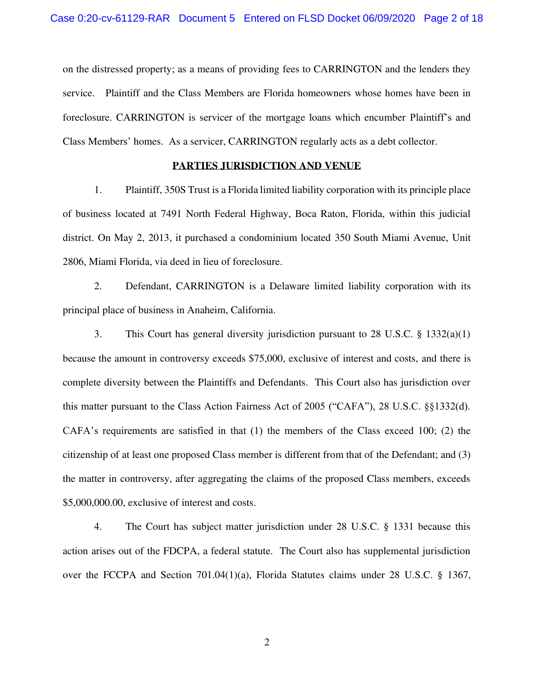on the distressed property; as a means of providing fees to CARRINGTON and the lenders they service. Plaintiff and the Class Members are Florida homeowners whose homes have been in foreclosure. CARRINGTON is servicer of the mortgage loans which encumber Plaintiff's and Class Members' homes. As a servicer, CARRINGTON regularly acts as a debt collector.

### **PARTIES JURISDICTION AND VENUE**

1. Plaintiff, 350S Trust is a Florida limited liability corporation with its principle place of business located at 7491 North Federal Highway, Boca Raton, Florida, within this judicial district. On May 2, 2013, it purchased a condominium located 350 South Miami Avenue, Unit 2806, Miami Florida, via deed in lieu of foreclosure.

2. Defendant, CARRINGTON is a Delaware limited liability corporation with its principal place of business in Anaheim, California.

3. This Court has general diversity jurisdiction pursuant to 28 U.S.C. § 1332(a)(1) because the amount in controversy exceeds \$75,000, exclusive of interest and costs, and there is complete diversity between the Plaintiffs and Defendants. This Court also has jurisdiction over this matter pursuant to the Class Action Fairness Act of 2005 ("CAFA"), 28 U.S.C. §§1332(d). CAFA's requirements are satisfied in that (1) the members of the Class exceed 100; (2) the citizenship of at least one proposed Class member is different from that of the Defendant; and (3) the matter in controversy, after aggregating the claims of the proposed Class members, exceeds \$5,000,000.00, exclusive of interest and costs.

4. The Court has subject matter jurisdiction under 28 U.S.C. § 1331 because this action arises out of the FDCPA, a federal statute. The Court also has supplemental jurisdiction over the FCCPA and Section 701.04(1)(a), Florida Statutes claims under 28 U.S.C. § 1367,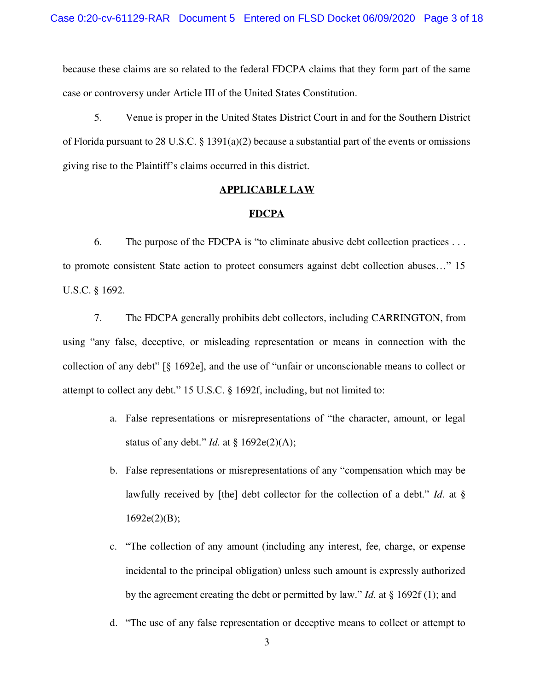because these claims are so related to the federal FDCPA claims that they form part of the same case or controversy under Article III of the United States Constitution.

5. Venue is proper in the United States District Court in and for the Southern District of Florida pursuant to 28 U.S.C. § 1391(a)(2) because a substantial part of the events or omissions giving rise to the Plaintiff's claims occurred in this district.

### **APPLICABLE LAW**

### **FDCPA**

6. The purpose of the FDCPA is "to eliminate abusive debt collection practices . . . to promote consistent State action to protect consumers against debt collection abuses…" 15 U.S.C. § 1692.

7. The FDCPA generally prohibits debt collectors, including CARRINGTON, from using "any false, deceptive, or misleading representation or means in connection with the collection of any debt" [§ 1692e], and the use of "unfair or unconscionable means to collect or attempt to collect any debt." 15 U.S.C. § 1692f, including, but not limited to:

- a. False representations or misrepresentations of "the character, amount, or legal status of any debt." *Id.* at § 1692e(2)(A);
- b. False representations or misrepresentations of any "compensation which may be lawfully received by [the] debt collector for the collection of a debt." *Id*. at §  $1692e(2)(B);$
- c. "The collection of any amount (including any interest, fee, charge, or expense incidental to the principal obligation) unless such amount is expressly authorized by the agreement creating the debt or permitted by law." *Id.* at § 1692f (1); and
- d. "The use of any false representation or deceptive means to collect or attempt to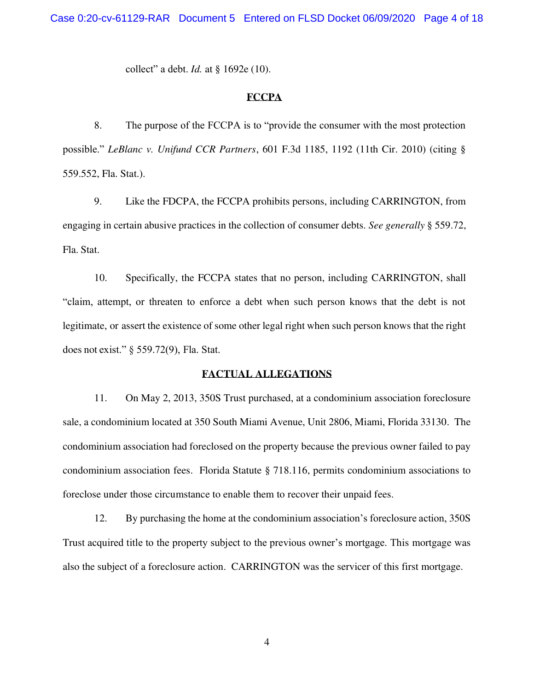collect" a debt. *Id.* at § 1692e (10).

#### **FCCPA**

8. The purpose of the FCCPA is to "provide the consumer with the most protection possible." *LeBlanc v. Unifund CCR Partners*, 601 F.3d 1185, 1192 (11th Cir. 2010) (citing § 559.552, Fla. Stat.).

9. Like the FDCPA, the FCCPA prohibits persons, including CARRINGTON, from engaging in certain abusive practices in the collection of consumer debts. *See generally* § 559.72, Fla. Stat.

10. Specifically, the FCCPA states that no person, including CARRINGTON, shall "claim, attempt, or threaten to enforce a debt when such person knows that the debt is not legitimate, or assert the existence of some other legal right when such person knows that the right does not exist." § 559.72(9), Fla. Stat.

## **FACTUAL ALLEGATIONS**

11. On May 2, 2013, 350S Trust purchased, at a condominium association foreclosure sale, a condominium located at 350 South Miami Avenue, Unit 2806, Miami, Florida 33130. The condominium association had foreclosed on the property because the previous owner failed to pay condominium association fees. Florida Statute § 718.116, permits condominium associations to foreclose under those circumstance to enable them to recover their unpaid fees.

12. By purchasing the home at the condominium association's foreclosure action, 350S Trust acquired title to the property subject to the previous owner's mortgage. This mortgage was also the subject of a foreclosure action. CARRINGTON was the servicer of this first mortgage.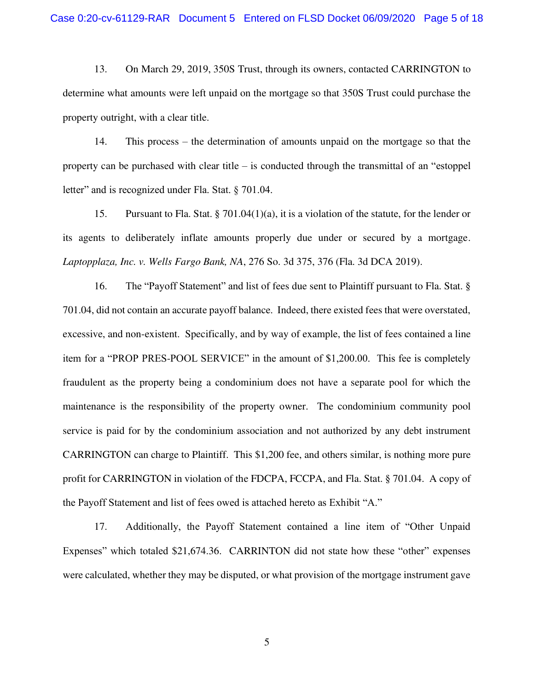13. On March 29, 2019, 350S Trust, through its owners, contacted CARRINGTON to determine what amounts were left unpaid on the mortgage so that 350S Trust could purchase the property outright, with a clear title.

14. This process – the determination of amounts unpaid on the mortgage so that the property can be purchased with clear title – is conducted through the transmittal of an "estoppel letter" and is recognized under Fla. Stat. § 701.04.

15. Pursuant to Fla. Stat. § 701.04(1)(a), it is a violation of the statute, for the lender or its agents to deliberately inflate amounts properly due under or secured by a mortgage. *Laptopplaza, Inc. v. Wells Fargo Bank, NA*, 276 So. 3d 375, 376 (Fla. 3d DCA 2019).

16. The "Payoff Statement" and list of fees due sent to Plaintiff pursuant to Fla. Stat. § 701.04, did not contain an accurate payoff balance. Indeed, there existed fees that were overstated, excessive, and non-existent. Specifically, and by way of example, the list of fees contained a line item for a "PROP PRES-POOL SERVICE" in the amount of \$1,200.00. This fee is completely fraudulent as the property being a condominium does not have a separate pool for which the maintenance is the responsibility of the property owner. The condominium community pool service is paid for by the condominium association and not authorized by any debt instrument CARRINGTON can charge to Plaintiff. This \$1,200 fee, and others similar, is nothing more pure profit for CARRINGTON in violation of the FDCPA, FCCPA, and Fla. Stat. § 701.04. A copy of the Payoff Statement and list of fees owed is attached hereto as Exhibit "A."

17. Additionally, the Payoff Statement contained a line item of "Other Unpaid Expenses" which totaled \$21,674.36. CARRINTON did not state how these "other" expenses were calculated, whether they may be disputed, or what provision of the mortgage instrument gave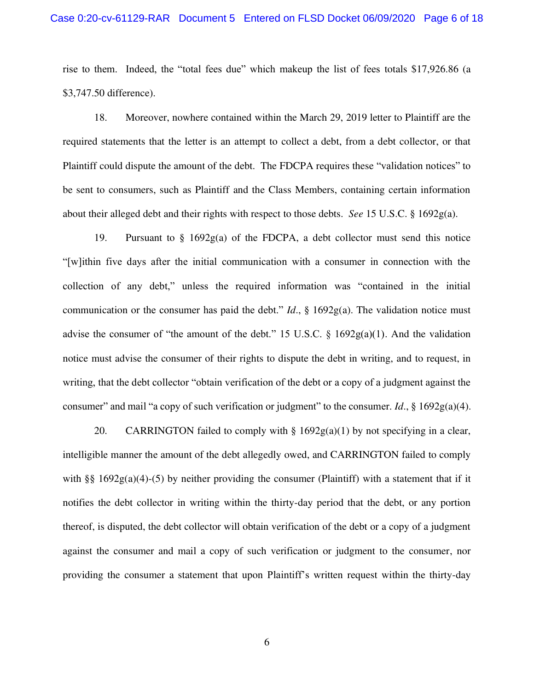#### Case 0:20-cv-61129-RAR Document 5 Entered on FLSD Docket 06/09/2020 Page 6 of 18

rise to them. Indeed, the "total fees due" which makeup the list of fees totals \$17,926.86 (a \$3,747.50 difference).

18. Moreover, nowhere contained within the March 29, 2019 letter to Plaintiff are the required statements that the letter is an attempt to collect a debt, from a debt collector, or that Plaintiff could dispute the amount of the debt. The FDCPA requires these "validation notices" to be sent to consumers, such as Plaintiff and the Class Members, containing certain information about their alleged debt and their rights with respect to those debts. *See* 15 U.S.C. § 1692g(a).

19. Pursuant to § 1692g(a) of the FDCPA, a debt collector must send this notice "[w]ithin five days after the initial communication with a consumer in connection with the collection of any debt," unless the required information was "contained in the initial communication or the consumer has paid the debt." *Id*., § 1692g(a). The validation notice must advise the consumer of "the amount of the debt." 15 U.S.C.  $\S$  1692g(a)(1). And the validation notice must advise the consumer of their rights to dispute the debt in writing, and to request, in writing, that the debt collector "obtain verification of the debt or a copy of a judgment against the consumer" and mail "a copy of such verification or judgment" to the consumer. *Id*., § 1692g(a)(4).

20. CARRINGTON failed to comply with  $\S 1692g(a)(1)$  by not specifying in a clear, intelligible manner the amount of the debt allegedly owed, and CARRINGTON failed to comply with §§  $1692g(a)(4)-(5)$  by neither providing the consumer (Plaintiff) with a statement that if it notifies the debt collector in writing within the thirty-day period that the debt, or any portion thereof, is disputed, the debt collector will obtain verification of the debt or a copy of a judgment against the consumer and mail a copy of such verification or judgment to the consumer, nor providing the consumer a statement that upon Plaintiff's written request within the thirty-day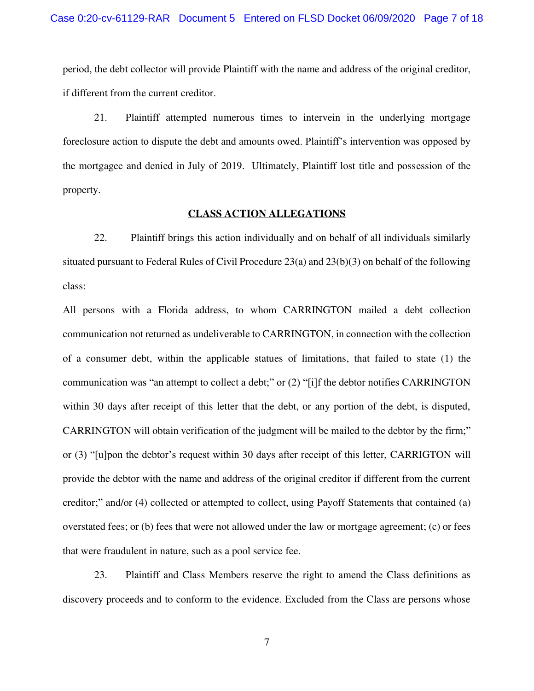period, the debt collector will provide Plaintiff with the name and address of the original creditor, if different from the current creditor.

21. Plaintiff attempted numerous times to intervein in the underlying mortgage foreclosure action to dispute the debt and amounts owed. Plaintiff's intervention was opposed by the mortgagee and denied in July of 2019. Ultimately, Plaintiff lost title and possession of the property.

### **CLASS ACTION ALLEGATIONS**

22. Plaintiff brings this action individually and on behalf of all individuals similarly situated pursuant to Federal Rules of Civil Procedure 23(a) and 23(b)(3) on behalf of the following class:

All persons with a Florida address, to whom CARRINGTON mailed a debt collection communication not returned as undeliverable to CARRINGTON, in connection with the collection of a consumer debt, within the applicable statues of limitations, that failed to state (1) the communication was "an attempt to collect a debt;" or (2) "[i]f the debtor notifies CARRINGTON within 30 days after receipt of this letter that the debt, or any portion of the debt, is disputed, CARRINGTON will obtain verification of the judgment will be mailed to the debtor by the firm;" or (3) "[u]pon the debtor's request within 30 days after receipt of this letter, CARRIGTON will provide the debtor with the name and address of the original creditor if different from the current creditor;" and/or (4) collected or attempted to collect, using Payoff Statements that contained (a) overstated fees; or (b) fees that were not allowed under the law or mortgage agreement; (c) or fees that were fraudulent in nature, such as a pool service fee.

23. Plaintiff and Class Members reserve the right to amend the Class definitions as discovery proceeds and to conform to the evidence. Excluded from the Class are persons whose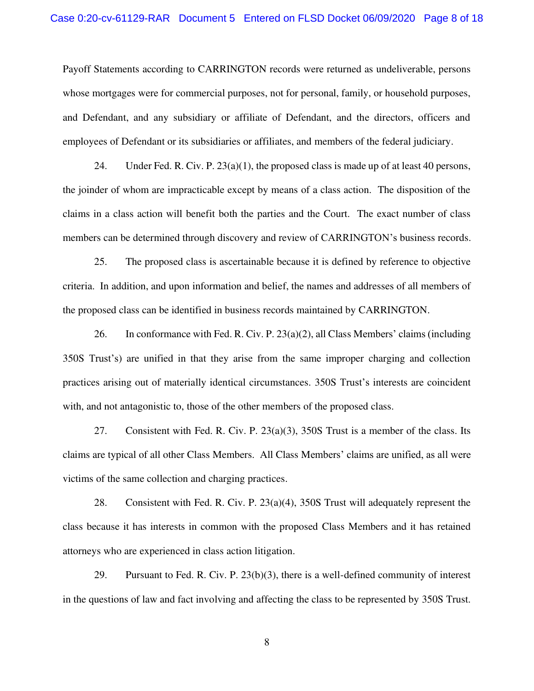Payoff Statements according to CARRINGTON records were returned as undeliverable, persons whose mortgages were for commercial purposes, not for personal, family, or household purposes, and Defendant, and any subsidiary or affiliate of Defendant, and the directors, officers and employees of Defendant or its subsidiaries or affiliates, and members of the federal judiciary.

24. Under Fed. R. Civ. P.  $23(a)(1)$ , the proposed class is made up of at least 40 persons, the joinder of whom are impracticable except by means of a class action. The disposition of the claims in a class action will benefit both the parties and the Court. The exact number of class members can be determined through discovery and review of CARRINGTON's business records.

25. The proposed class is ascertainable because it is defined by reference to objective criteria. In addition, and upon information and belief, the names and addresses of all members of the proposed class can be identified in business records maintained by CARRINGTON.

26. In conformance with Fed. R. Civ. P. 23(a)(2), all Class Members' claims (including 350S Trust's) are unified in that they arise from the same improper charging and collection practices arising out of materially identical circumstances. 350S Trust's interests are coincident with, and not antagonistic to, those of the other members of the proposed class.

27. Consistent with Fed. R. Civ. P. 23(a)(3), 350S Trust is a member of the class. Its claims are typical of all other Class Members. All Class Members' claims are unified, as all were victims of the same collection and charging practices.

28. Consistent with Fed. R. Civ. P. 23(a)(4), 350S Trust will adequately represent the class because it has interests in common with the proposed Class Members and it has retained attorneys who are experienced in class action litigation.

29. Pursuant to Fed. R. Civ. P. 23(b)(3), there is a well-defined community of interest in the questions of law and fact involving and affecting the class to be represented by 350S Trust.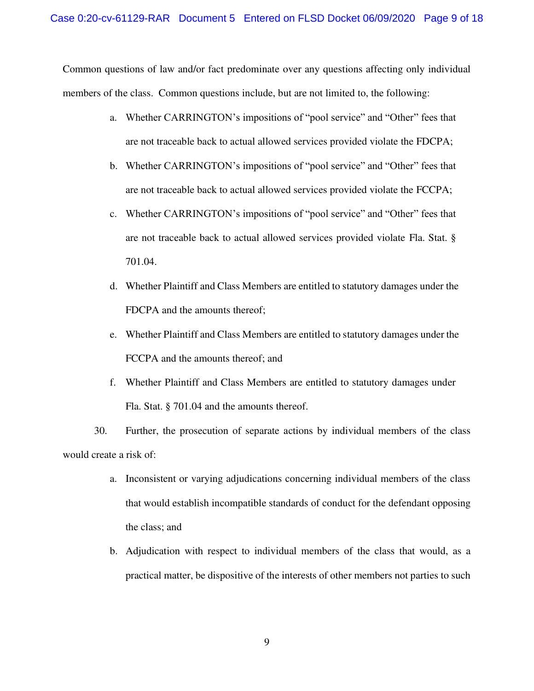Common questions of law and/or fact predominate over any questions affecting only individual members of the class. Common questions include, but are not limited to, the following:

- a. Whether CARRINGTON's impositions of "pool service" and "Other" fees that are not traceable back to actual allowed services provided violate the FDCPA;
- b. Whether CARRINGTON's impositions of "pool service" and "Other" fees that are not traceable back to actual allowed services provided violate the FCCPA;
- c. Whether CARRINGTON's impositions of "pool service" and "Other" fees that are not traceable back to actual allowed services provided violate Fla. Stat. § 701.04.
- d. Whether Plaintiff and Class Members are entitled to statutory damages under the FDCPA and the amounts thereof;
- e. Whether Plaintiff and Class Members are entitled to statutory damages under the FCCPA and the amounts thereof; and
- f. Whether Plaintiff and Class Members are entitled to statutory damages under Fla. Stat. § 701.04 and the amounts thereof.

30. Further, the prosecution of separate actions by individual members of the class would create a risk of:

- a. Inconsistent or varying adjudications concerning individual members of the class that would establish incompatible standards of conduct for the defendant opposing the class; and
- b. Adjudication with respect to individual members of the class that would, as a practical matter, be dispositive of the interests of other members not parties to such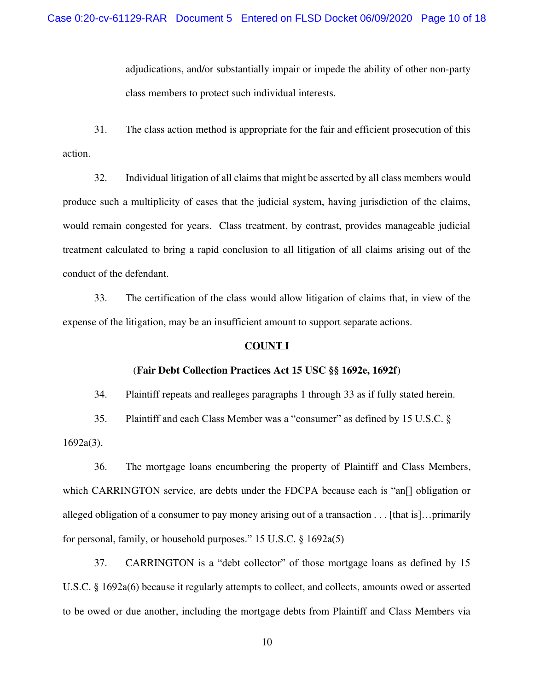adjudications, and/or substantially impair or impede the ability of other non-party class members to protect such individual interests.

31. The class action method is appropriate for the fair and efficient prosecution of this action.

32. Individual litigation of all claims that might be asserted by all class members would produce such a multiplicity of cases that the judicial system, having jurisdiction of the claims, would remain congested for years. Class treatment, by contrast, provides manageable judicial treatment calculated to bring a rapid conclusion to all litigation of all claims arising out of the conduct of the defendant.

33. The certification of the class would allow litigation of claims that, in view of the expense of the litigation, may be an insufficient amount to support separate actions.

### **COUNT I**

### (**Fair Debt Collection Practices Act 15 USC §§ 1692e, 1692f**)

34. Plaintiff repeats and realleges paragraphs 1 through 33 as if fully stated herein.

35. Plaintiff and each Class Member was a "consumer" as defined by 15 U.S.C. § 1692a(3).

36. The mortgage loans encumbering the property of Plaintiff and Class Members, which CARRINGTON service, are debts under the FDCPA because each is "an<sup>[]</sup> obligation or alleged obligation of a consumer to pay money arising out of a transaction . . . [that is]…primarily for personal, family, or household purposes." 15 U.S.C. § 1692a(5)

37. CARRINGTON is a "debt collector" of those mortgage loans as defined by 15 U.S.C. § 1692a(6) because it regularly attempts to collect, and collects, amounts owed or asserted to be owed or due another, including the mortgage debts from Plaintiff and Class Members via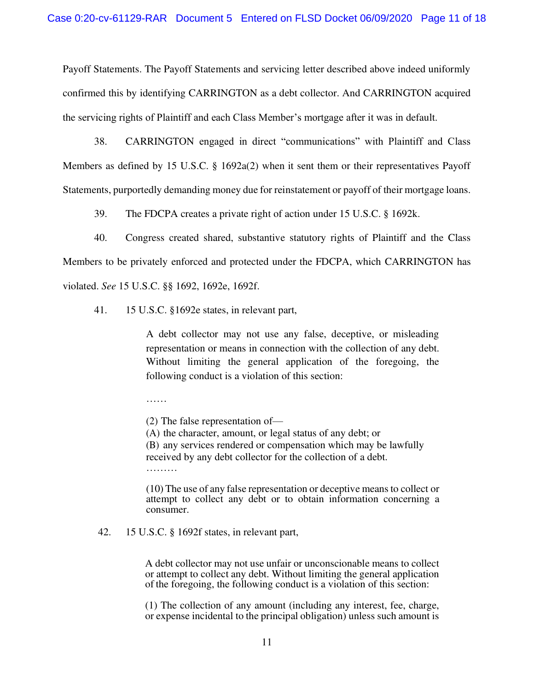Payoff Statements. The Payoff Statements and servicing letter described above indeed uniformly confirmed this by identifying CARRINGTON as a debt collector. And CARRINGTON acquired the servicing rights of Plaintiff and each Class Member's mortgage after it was in default.

38. CARRINGTON engaged in direct "communications" with Plaintiff and Class Members as defined by 15 U.S.C. § 1692a(2) when it sent them or their representatives Payoff Statements, purportedly demanding money due for reinstatement or payoff of their mortgage loans.

39. The FDCPA creates a private right of action under 15 U.S.C. § 1692k.

40. Congress created shared, substantive statutory rights of Plaintiff and the Class Members to be privately enforced and protected under the FDCPA, which CARRINGTON has violated. *See* 15 U.S.C. §§ 1692, 1692e, 1692f.

41. 15 U.S.C. §1692e states, in relevant part,

A debt collector may not use any false, deceptive, or misleading representation or means in connection with the collection of any debt. Without limiting the general application of the foregoing, the following conduct is a violation of this section:

……

(2) The false representation of—

(A) the character, amount, or legal status of any debt; or (B) any services rendered or compensation which may be lawfully received by any debt collector for the collection of a debt. …………

(10) The use of any false representation or deceptive means to collect or attempt to collect any debt or to obtain information concerning a consumer.

### 42. 15 U.S.C. § 1692f states, in relevant part,

A debt collector may not use unfair or unconscionable means to collect or attempt to collect any debt. Without limiting the general application of the foregoing, the following conduct is a violation of this section:

(1) The collection of any amount (including any interest, fee, charge, or expense incidental to the principal obligation) unless such amount is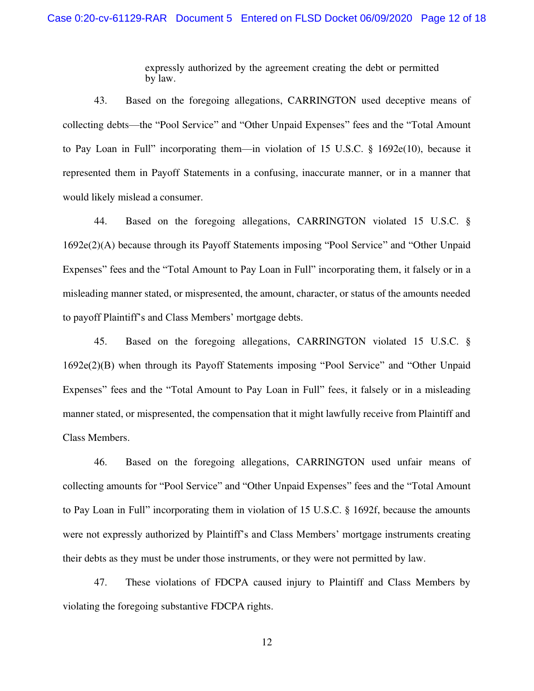expressly authorized by the agreement creating the debt or permitted by law.

43. Based on the foregoing allegations, CARRINGTON used deceptive means of collecting debts––the "Pool Service" and "Other Unpaid Expenses" fees and the "Total Amount to Pay Loan in Full" incorporating them—in violation of 15 U.S.C. § 1692e(10), because it represented them in Payoff Statements in a confusing, inaccurate manner, or in a manner that would likely mislead a consumer.

44. Based on the foregoing allegations, CARRINGTON violated 15 U.S.C. § 1692e(2)(A) because through its Payoff Statements imposing "Pool Service" and "Other Unpaid Expenses" fees and the "Total Amount to Pay Loan in Full" incorporating them, it falsely or in a misleading manner stated, or mispresented, the amount, character, or status of the amounts needed to payoff Plaintiff's and Class Members' mortgage debts.

45. Based on the foregoing allegations, CARRINGTON violated 15 U.S.C. § 1692e(2)(B) when through its Payoff Statements imposing "Pool Service" and "Other Unpaid Expenses" fees and the "Total Amount to Pay Loan in Full" fees, it falsely or in a misleading manner stated, or mispresented, the compensation that it might lawfully receive from Plaintiff and Class Members.

46. Based on the foregoing allegations, CARRINGTON used unfair means of collecting amounts for "Pool Service" and "Other Unpaid Expenses" fees and the "Total Amount to Pay Loan in Full" incorporating them in violation of 15 U.S.C. § 1692f, because the amounts were not expressly authorized by Plaintiff's and Class Members' mortgage instruments creating their debts as they must be under those instruments, or they were not permitted by law.

47. These violations of FDCPA caused injury to Plaintiff and Class Members by violating the foregoing substantive FDCPA rights.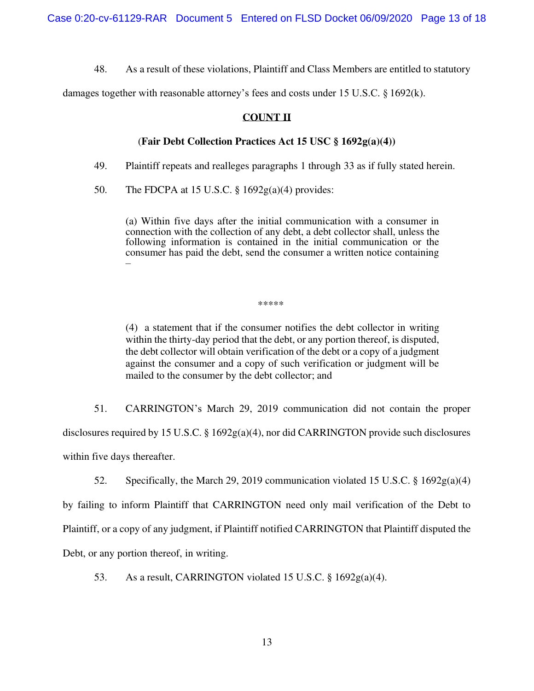48. As a result of these violations, Plaintiff and Class Members are entitled to statutory

damages together with reasonable attorney's fees and costs under 15 U.S.C. § 1692(k).

## **COUNT II**

## (**Fair Debt Collection Practices Act 15 USC § 1692g(a)(4))**

49. Plaintiff repeats and realleges paragraphs 1 through 33 as if fully stated herein.

50. The FDCPA at 15 U.S.C.  $\S 1692g(a)(4)$  provides:

(a) Within five days after the initial communication with a consumer in connection with the collection of any debt, a debt collector shall, unless the following information is contained in the initial communication or the consumer has paid the debt, send the consumer a written notice containing –

\*\*\*\*\*

(4) a statement that if the consumer notifies the debt collector in writing within the thirty-day period that the debt, or any portion thereof, is disputed, the debt collector will obtain verification of the debt or a copy of a judgment against the consumer and a copy of such verification or judgment will be mailed to the consumer by the debt collector; and

51. CARRINGTON's March 29, 2019 communication did not contain the proper disclosures required by 15 U.S.C. § 1692g(a)(4), nor did CARRINGTON provide such disclosures within five days thereafter.

52. Specifically, the March 29, 2019 communication violated 15 U.S.C. § 1692g(a)(4)

by failing to inform Plaintiff that CARRINGTON need only mail verification of the Debt to Plaintiff, or a copy of any judgment, if Plaintiff notified CARRINGTON that Plaintiff disputed the Debt, or any portion thereof, in writing.

53. As a result, CARRINGTON violated 15 U.S.C. § 1692g(a)(4).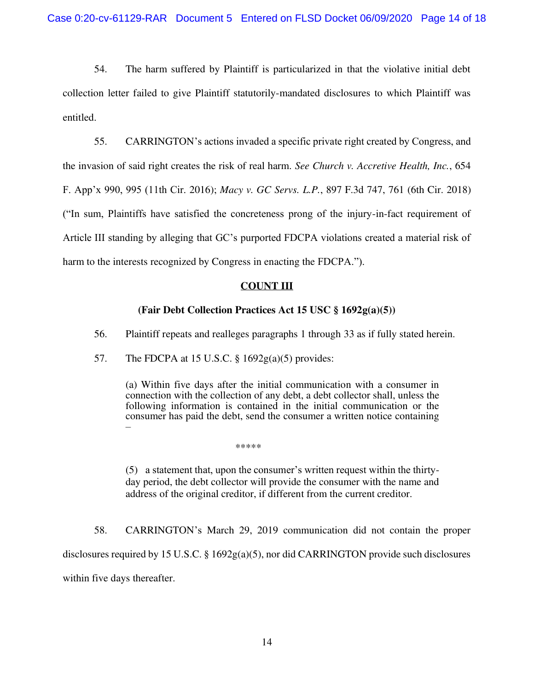54. The harm suffered by Plaintiff is particularized in that the violative initial debt collection letter failed to give Plaintiff statutorily-mandated disclosures to which Plaintiff was entitled.

55. CARRINGTON's actions invaded a specific private right created by Congress, and the invasion of said right creates the risk of real harm. *See Church v. Accretive Health, Inc.*, 654 F. App'x 990, 995 (11th Cir. 2016); *Macy v. GC Servs. L.P.*, 897 F.3d 747, 761 (6th Cir. 2018) ("In sum, Plaintiffs have satisfied the concreteness prong of the injury-in-fact requirement of Article III standing by alleging that GC's purported FDCPA violations created a material risk of harm to the interests recognized by Congress in enacting the FDCPA.").

# **COUNT III**

# **(Fair Debt Collection Practices Act 15 USC § 1692g(a)(5))**

56. Plaintiff repeats and realleges paragraphs 1 through 33 as if fully stated herein.

57. The FDCPA at 15 U.S.C.  $\S$  1692g(a)(5) provides:

(a) Within five days after the initial communication with a consumer in connection with the collection of any debt, a debt collector shall, unless the following information is contained in the initial communication or the consumer has paid the debt, send the consumer a written notice containing –

\*\*\*\*\*

(5) a statement that, upon the consumer's written request within the thirtyday period, the debt collector will provide the consumer with the name and address of the original creditor, if different from the current creditor.

58. CARRINGTON's March 29, 2019 communication did not contain the proper disclosures required by 15 U.S.C. § 1692g(a)(5), nor did CARRINGTON provide such disclosures within five days thereafter.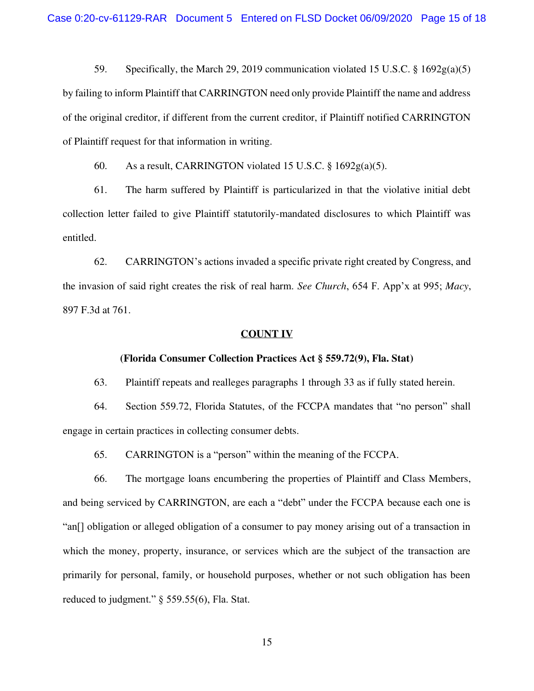59. Specifically, the March 29, 2019 communication violated 15 U.S.C. § 1692g(a)(5) by failing to inform Plaintiff that CARRINGTON need only provide Plaintiff the name and address of the original creditor, if different from the current creditor, if Plaintiff notified CARRINGTON of Plaintiff request for that information in writing.

60. As a result, CARRINGTON violated 15 U.S.C.  $\S$  1692g(a)(5).

61. The harm suffered by Plaintiff is particularized in that the violative initial debt collection letter failed to give Plaintiff statutorily-mandated disclosures to which Plaintiff was entitled.

62. CARRINGTON's actions invaded a specific private right created by Congress, and the invasion of said right creates the risk of real harm. *See Church*, 654 F. App'x at 995; *Macy*, 897 F.3d at 761.

#### **COUNT IV**

### **(Florida Consumer Collection Practices Act § 559.72(9), Fla. Stat)**

63. Plaintiff repeats and realleges paragraphs 1 through 33 as if fully stated herein.

64. Section 559.72, Florida Statutes, of the FCCPA mandates that "no person" shall engage in certain practices in collecting consumer debts.

65. CARRINGTON is a "person" within the meaning of the FCCPA.

66. The mortgage loans encumbering the properties of Plaintiff and Class Members, and being serviced by CARRINGTON, are each a "debt" under the FCCPA because each one is "an[] obligation or alleged obligation of a consumer to pay money arising out of a transaction in which the money, property, insurance, or services which are the subject of the transaction are primarily for personal, family, or household purposes, whether or not such obligation has been reduced to judgment." § 559.55(6), Fla. Stat.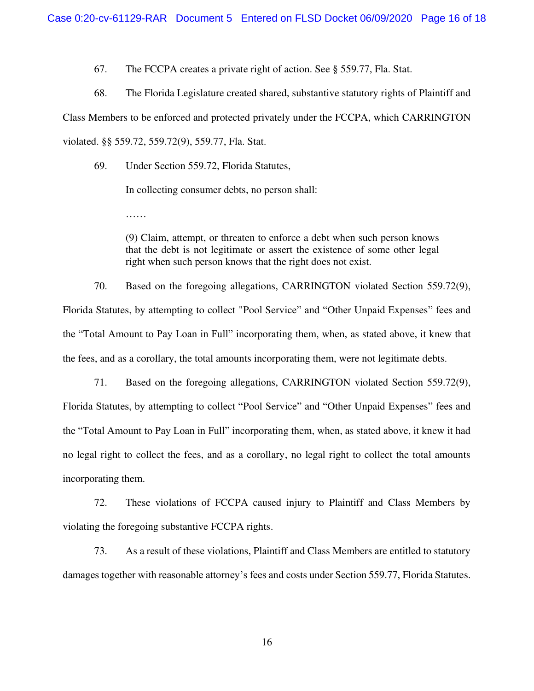67. The FCCPA creates a private right of action. See § 559.77, Fla. Stat.

68. The Florida Legislature created shared, substantive statutory rights of Plaintiff and Class Members to be enforced and protected privately under the FCCPA, which CARRINGTON violated. §§ 559.72, 559.72(9), 559.77, Fla. Stat.

69. Under Section 559.72, Florida Statutes,

……

In collecting consumer debts, no person shall:

(9) Claim, attempt, or threaten to enforce a debt when such person knows that the debt is not legitimate or assert the existence of some other legal right when such person knows that the right does not exist.

70. Based on the foregoing allegations, CARRINGTON violated Section 559.72(9), Florida Statutes, by attempting to collect "Pool Service" and "Other Unpaid Expenses" fees and the "Total Amount to Pay Loan in Full" incorporating them, when, as stated above, it knew that the fees, and as a corollary, the total amounts incorporating them, were not legitimate debts.

71. Based on the foregoing allegations, CARRINGTON violated Section 559.72(9), Florida Statutes, by attempting to collect "Pool Service" and "Other Unpaid Expenses" fees and the "Total Amount to Pay Loan in Full" incorporating them, when, as stated above, it knew it had no legal right to collect the fees, and as a corollary, no legal right to collect the total amounts incorporating them.

72. These violations of FCCPA caused injury to Plaintiff and Class Members by violating the foregoing substantive FCCPA rights.

73. As a result of these violations, Plaintiff and Class Members are entitled to statutory damages together with reasonable attorney's fees and costs under Section 559.77, Florida Statutes.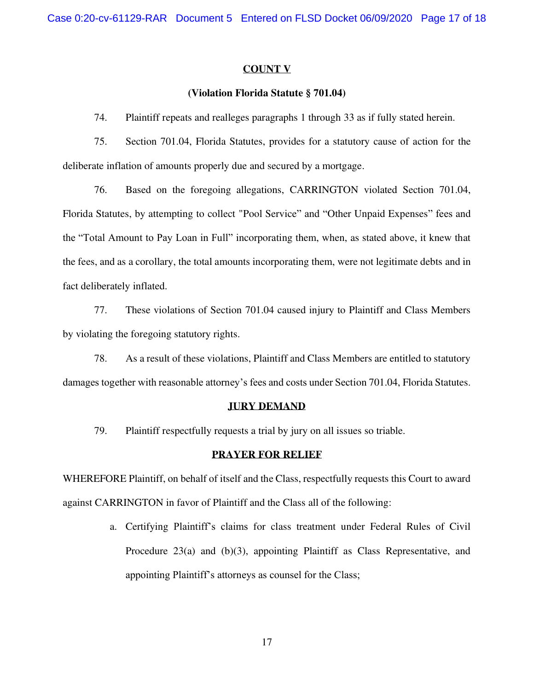### **COUNT V**

### **(Violation Florida Statute § 701.04)**

74. Plaintiff repeats and realleges paragraphs 1 through 33 as if fully stated herein.

75. Section 701.04, Florida Statutes, provides for a statutory cause of action for the deliberate inflation of amounts properly due and secured by a mortgage.

76. Based on the foregoing allegations, CARRINGTON violated Section 701.04, Florida Statutes, by attempting to collect "Pool Service" and "Other Unpaid Expenses" fees and the "Total Amount to Pay Loan in Full" incorporating them, when, as stated above, it knew that the fees, and as a corollary, the total amounts incorporating them, were not legitimate debts and in fact deliberately inflated.

77. These violations of Section 701.04 caused injury to Plaintiff and Class Members by violating the foregoing statutory rights.

78. As a result of these violations, Plaintiff and Class Members are entitled to statutory damages together with reasonable attorney's fees and costs under Section 701.04, Florida Statutes.

#### **JURY DEMAND**

79. Plaintiff respectfully requests a trial by jury on all issues so triable.

#### **PRAYER FOR RELIEF**

WHEREFORE Plaintiff, on behalf of itself and the Class, respectfully requests this Court to award against CARRINGTON in favor of Plaintiff and the Class all of the following:

> a. Certifying Plaintiff's claims for class treatment under Federal Rules of Civil Procedure 23(a) and (b)(3), appointing Plaintiff as Class Representative, and appointing Plaintiff's attorneys as counsel for the Class;